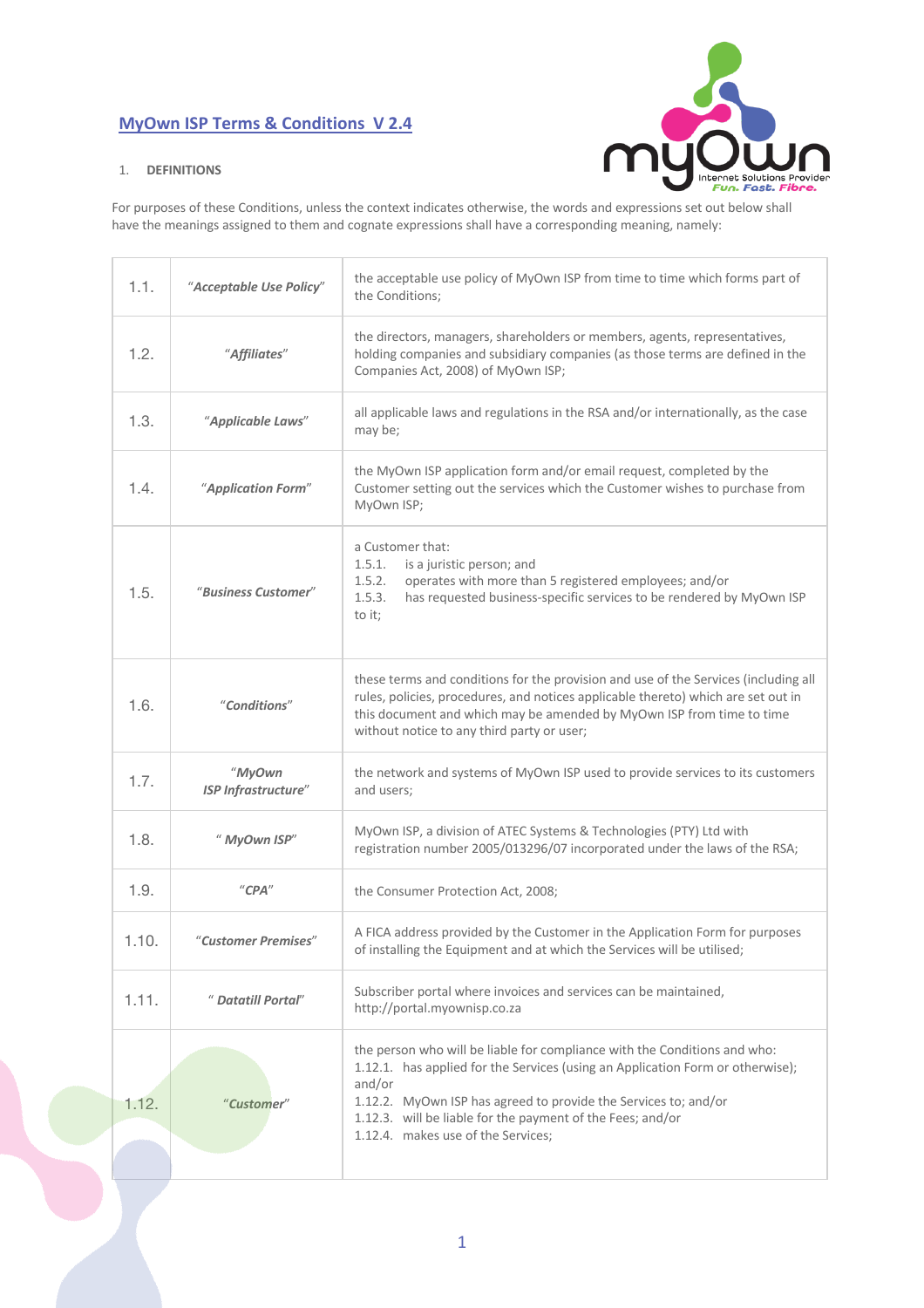# **MyOwn ISP Terms & Conditions V 2.4**





For purposes of these Conditions, unless the context indicates otherwise, the words and expressions set out below shall have the meanings assigned to them and cognate expressions shall have a corresponding meaning, namely:

| 1.1.  | "Acceptable Use Policy"                 | the acceptable use policy of MyOwn ISP from time to time which forms part of<br>the Conditions;                                                                                                                                                                                                                                              |
|-------|-----------------------------------------|----------------------------------------------------------------------------------------------------------------------------------------------------------------------------------------------------------------------------------------------------------------------------------------------------------------------------------------------|
| 1.2.  | "Affiliates"                            | the directors, managers, shareholders or members, agents, representatives,<br>holding companies and subsidiary companies (as those terms are defined in the<br>Companies Act, 2008) of MyOwn ISP;                                                                                                                                            |
| 1.3.  | "Applicable Laws"                       | all applicable laws and regulations in the RSA and/or internationally, as the case<br>may be;                                                                                                                                                                                                                                                |
| 1.4.  | "Application Form"                      | the MyOwn ISP application form and/or email request, completed by the<br>Customer setting out the services which the Customer wishes to purchase from<br>MyOwn ISP;                                                                                                                                                                          |
| 1.5.  | "Business Customer"                     | a Customer that:<br>is a juristic person; and<br>1.5.1.<br>1.5.2.<br>operates with more than 5 registered employees; and/or<br>1.5.3.<br>has requested business-specific services to be rendered by MyOwn ISP<br>to it;                                                                                                                      |
| 1.6.  | "Conditions"                            | these terms and conditions for the provision and use of the Services (including all<br>rules, policies, procedures, and notices applicable thereto) which are set out in<br>this document and which may be amended by MyOwn ISP from time to time<br>without notice to any third party or user;                                              |
| 1.7.  | "MyOwn<br><b>ISP Infrastructure"</b>    | the network and systems of MyOwn ISP used to provide services to its customers<br>and users;                                                                                                                                                                                                                                                 |
| 1.8.  | " MyOwn ISP"                            | MyOwn ISP, a division of ATEC Systems & Technologies (PTY) Ltd with<br>registration number 2005/013296/07 incorporated under the laws of the RSA;                                                                                                                                                                                            |
| 1.9.  | $^{\prime\prime}$ CPA $^{\prime\prime}$ | the Consumer Protection Act, 2008;                                                                                                                                                                                                                                                                                                           |
| 1.10. | "Customer Premises"                     | A FICA address provided by the Customer in the Application Form for purposes<br>of installing the Equipment and at which the Services will be utilised;                                                                                                                                                                                      |
| 1.11. | " Datatill Portal"                      | Subscriber portal where invoices and services can be maintained,<br>http://portal.myownisp.co.za                                                                                                                                                                                                                                             |
| 1.12. | "Customer"                              | the person who will be liable for compliance with the Conditions and who:<br>1.12.1. has applied for the Services (using an Application Form or otherwise);<br>and/or<br>1.12.2. MyOwn ISP has agreed to provide the Services to; and/or<br>1.12.3. will be liable for the payment of the Fees; and/or<br>1.12.4. makes use of the Services; |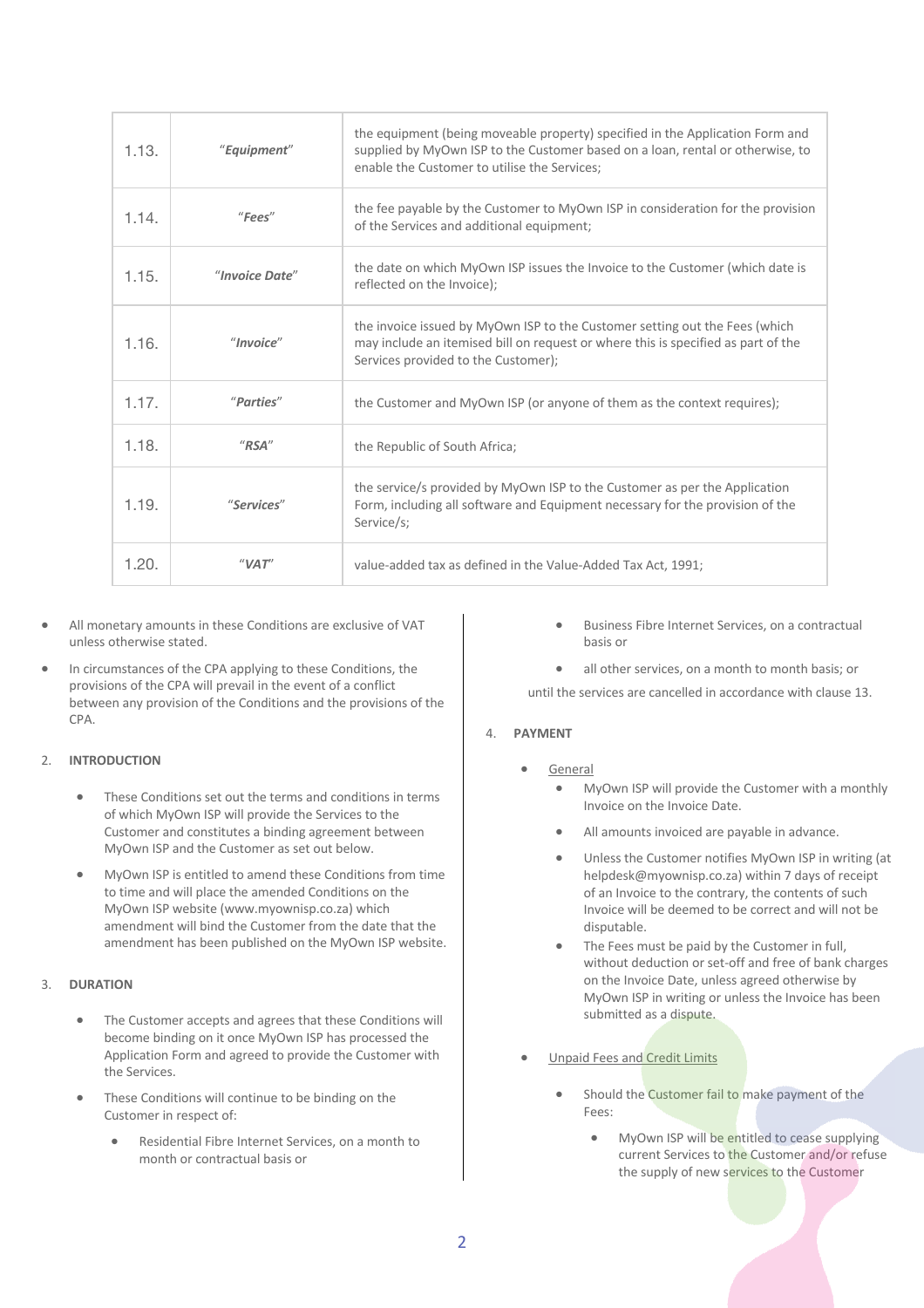| 1.13. | "Equipment"            | the equipment (being moveable property) specified in the Application Form and<br>supplied by MyOwn ISP to the Customer based on a loan, rental or otherwise, to<br>enable the Customer to utilise the Services; |
|-------|------------------------|-----------------------------------------------------------------------------------------------------------------------------------------------------------------------------------------------------------------|
| 1.14. | "Fees"                 | the fee payable by the Customer to MyOwn ISP in consideration for the provision<br>of the Services and additional equipment;                                                                                    |
| 1.15. | "Invoice Date"         | the date on which MyOwn ISP issues the Invoice to the Customer (which date is<br>reflected on the Invoice);                                                                                                     |
| 1.16. | "In voice"             | the invoice issued by MyOwn ISP to the Customer setting out the Fees (which<br>may include an itemised bill on request or where this is specified as part of the<br>Services provided to the Customer);         |
| 1.17. | "Parties"              | the Customer and MyOwn ISP (or anyone of them as the context requires);                                                                                                                                         |
| 1.18. | $^{\prime\prime}$ RSA" | the Republic of South Africa;                                                                                                                                                                                   |
| 1.19. | "Services"             | the service/s provided by MyOwn ISP to the Customer as per the Application<br>Form, including all software and Equipment necessary for the provision of the<br>Service/s;                                       |
| 1.20. | "VAT"                  | value-added tax as defined in the Value-Added Tax Act, 1991;                                                                                                                                                    |

- All monetary amounts in these Conditions are exclusive of VAT unless otherwise stated.
- In circumstances of the CPA applying to these Conditions, the provisions of the CPA will prevail in the event of a conflict between any provision of the Conditions and the provisions of the CPA.

# 2. **INTRODUCTION**

- These Conditions set out the terms and conditions in terms of which MyOwn ISP will provide the Services to the Customer and constitutes a binding agreement between MyOwn ISP and the Customer as set out below.
- MyOwn ISP is entitled to amend these Conditions from time to time and will place the amended Conditions on the MyOwn ISP website (www.myownisp.co.za) which amendment will bind the Customer from the date that the amendment has been published on the MyOwn ISP website.

# 3. **DURATION**

- The Customer accepts and agrees that these Conditions will become binding on it once MyOwn ISP has processed the Application Form and agreed to provide the Customer with the Services.
- These Conditions will continue to be binding on the Customer in respect of:
	- Residential Fibre Internet Services, on a month to month or contractual basis or
- Business Fibre Internet Services, on a contractual basis or
- all other services, on a month to month basis; or

until the services are cancelled in accordance with clause 13.

# 4. **PAYMENT**

- **General** 
	- MyOwn ISP will provide the Customer with a monthly Invoice on the Invoice Date.
	- All amounts invoiced are payable in advance.
	- Unless the Customer notifies MyOwn ISP in writing (at helpdesk@myownisp.co.za) within 7 days of receipt of an Invoice to the contrary, the contents of such Invoice will be deemed to be correct and will not be disputable.
	- The Fees must be paid by the Customer in full. without deduction or set-off and free of bank charges on the Invoice Date, unless agreed otherwise by MyOwn ISP in writing or unless the Invoice has been submitted as a dispute.
- Unpaid Fees and Credit Limits
	- Should the Customer fail to make payment of the Fees:
		- MyOwn ISP will be entitled to cease supplying current Services to the Customer and/or refuse the supply of new services to the Customer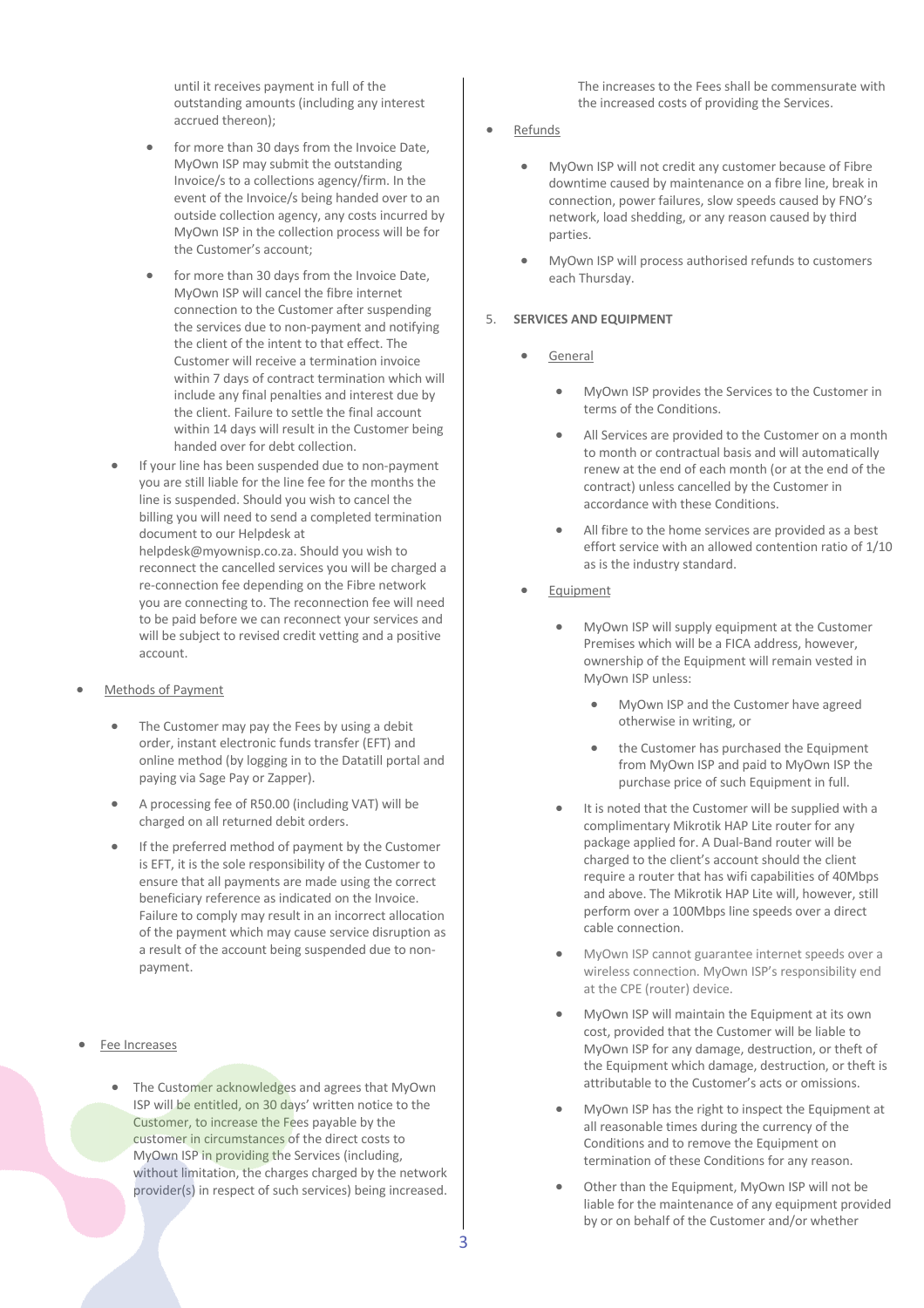until it receives payment in full of the outstanding amounts (including any interest accrued thereon);

- for more than 30 days from the Invoice Date, MyOwn ISP may submit the outstanding Invoice/s to a collections agency/firm. In the event of the Invoice/s being handed over to an outside collection agency, any costs incurred by MyOwn ISP in the collection process will be for the Customer's account;
- for more than 30 days from the Invoice Date, MyOwn ISP will cancel the fibre internet connection to the Customer after suspending the services due to non-payment and notifying the client of the intent to that effect. The Customer will receive a termination invoice within 7 days of contract termination which will include any final penalties and interest due by the client. Failure to settle the final account within 14 days will result in the Customer being handed over for debt collection.
- If your line has been suspended due to non-payment you are still liable for the line fee for the months the line is suspended. Should you wish to cancel the billing you will need to send a completed termination document to our Helpdesk at helpdesk@myownisp.co.za. Should you wish to reconnect the cancelled services you will be charged a re-connection fee depending on the Fibre network you are connecting to. The reconnection fee will need to be paid before we can reconnect your services and will be subject to revised credit vetting and a positive account.
- Methods of Payment
	- The Customer may pay the Fees by using a debit order, instant electronic funds transfer (EFT) and online method (by logging in to the Datatill portal and paying via Sage Pay or Zapper).
	- A processing fee of R50.00 (including VAT) will be charged on all returned debit orders.
	- If the preferred method of payment by the Customer is EFT, it is the sole responsibility of the Customer to ensure that all payments are made using the correct beneficiary reference as indicated on the Invoice. Failure to comply may result in an incorrect allocation of the payment which may cause service disruption as a result of the account being suspended due to nonpayment.
- Fee Increases
	- The Customer acknowledges and agrees that MyOwn ISP will be entitled, on 30 days' written notice to the Customer, to increase the Fees payable by the customer in circumstances of the direct costs to MyOwn ISP in providing the Services (including, without limitation, the charges charged by the network provider(s) in respect of such services) being increased.

The increases to the Fees shall be commensurate with the increased costs of providing the Services.

- Refunds
	- MyOwn ISP will not credit any customer because of Fibre downtime caused by maintenance on a fibre line, break in connection, power failures, slow speeds caused by FNO's network, load shedding, or any reason caused by third parties.
	- MyOwn ISP will process authorised refunds to customers each Thursday.

### 5. **SERVICES AND EQUIPMENT**

- **General** 
	- MyOwn ISP provides the Services to the Customer in terms of the Conditions.
	- All Services are provided to the Customer on a month to month or contractual basis and will automatically renew at the end of each month (or at the end of the contract) unless cancelled by the Customer in accordance with these Conditions.
	- All fibre to the home services are provided as a best effort service with an allowed contention ratio of 1/10 as is the industry standard.
- **Equipment** 
	- MyOwn ISP will supply equipment at the Customer Premises which will be a FICA address, however, ownership of the Equipment will remain vested in MyOwn ISP unless:
		- MyOwn ISP and the Customer have agreed otherwise in writing, or
		- the Customer has purchased the Equipment from MyOwn ISP and paid to MyOwn ISP the purchase price of such Equipment in full.
	- It is noted that the Customer will be supplied with a complimentary Mikrotik HAP Lite router for any package applied for. A Dual-Band router will be charged to the client's account should the client require a router that has wifi capabilities of 40Mbps and above. The Mikrotik HAP Lite will, however, still perform over a 100Mbps line speeds over a direct cable connection.
	- MyOwn ISP cannot guarantee internet speeds over a wireless connection. MyOwn ISP's responsibility end at the CPE (router) device.
	- MyOwn ISP will maintain the Equipment at its own cost, provided that the Customer will be liable to MyOwn ISP for any damage, destruction, or theft of the Equipment which damage, destruction, or theft is attributable to the Customer's acts or omissions.
	- MyOwn ISP has the right to inspect the Equipment at all reasonable times during the currency of the Conditions and to remove the Equipment on termination of these Conditions for any reason.
	- Other than the Equipment, MyOwn ISP will not be liable for the maintenance of any equipment provided by or on behalf of the Customer and/or whether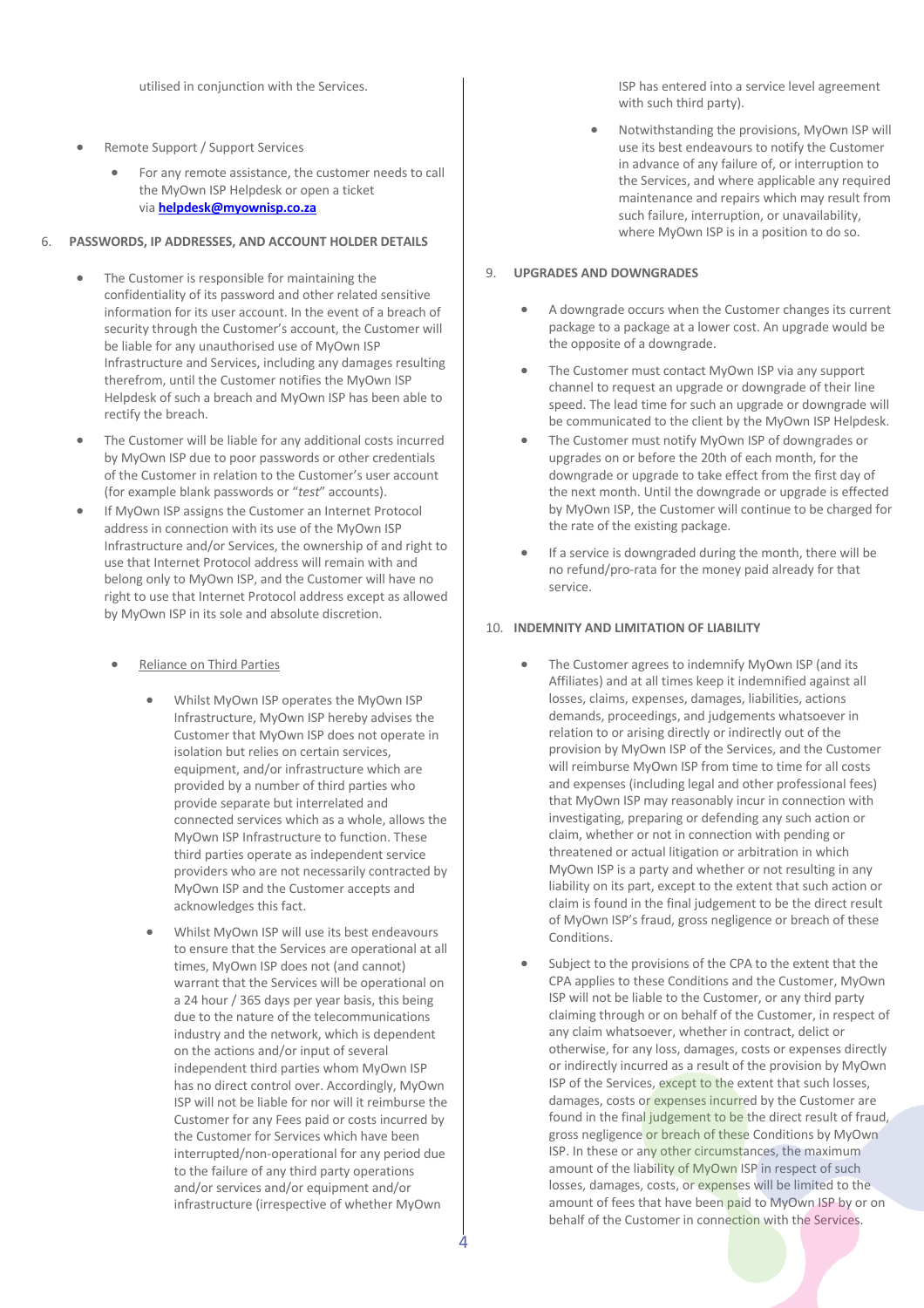utilised in conjunction with the Services.

- Remote Support / Support Services
	- For any remote assistance, the customer needs to call the MyOwn ISP Helpdesk or open a ticket via **helpdesk@myownisp.co.za**

#### 6. **PASSWORDS, IP ADDRESSES, AND ACCOUNT HOLDER DETAILS**

- The Customer is responsible for maintaining the confidentiality of its password and other related sensitive information for its user account. In the event of a breach of security through the Customer's account, the Customer will be liable for any unauthorised use of MyOwn ISP Infrastructure and Services, including any damages resulting therefrom, until the Customer notifies the MyOwn ISP Helpdesk of such a breach and MyOwn ISP has been able to rectify the breach.
- The Customer will be liable for any additional costs incurred by MyOwn ISP due to poor passwords or other credentials of the Customer in relation to the Customer's user account (for example blank passwords or "*test*" accounts).
- If MyOwn ISP assigns the Customer an Internet Protocol address in connection with its use of the MyOwn ISP Infrastructure and/or Services, the ownership of and right to use that Internet Protocol address will remain with and belong only to MyOwn ISP, and the Customer will have no right to use that Internet Protocol address except as allowed by MyOwn ISP in its sole and absolute discretion.
	- Reliance on Third Parties
		- Whilst MyOwn ISP operates the MyOwn ISP Infrastructure, MyOwn ISP hereby advises the Customer that MyOwn ISP does not operate in isolation but relies on certain services, equipment, and/or infrastructure which are provided by a number of third parties who provide separate but interrelated and connected services which as a whole, allows the MyOwn ISP Infrastructure to function. These third parties operate as independent service providers who are not necessarily contracted by MyOwn ISP and the Customer accepts and acknowledges this fact.
		- Whilst MyOwn ISP will use its best endeavours to ensure that the Services are operational at all times, MyOwn ISP does not (and cannot) warrant that the Services will be operational on a 24 hour / 365 days per year basis, this being due to the nature of the telecommunications industry and the network, which is dependent on the actions and/or input of several independent third parties whom MyOwn ISP has no direct control over. Accordingly, MyOwn ISP will not be liable for nor will it reimburse the Customer for any Fees paid or costs incurred by the Customer for Services which have been interrupted/non-operational for any period due to the failure of any third party operations and/or services and/or equipment and/or infrastructure (irrespective of whether MyOwn

ISP has entered into a service level agreement with such third party).

• Notwithstanding the provisions, MyOwn ISP will use its best endeavours to notify the Customer in advance of any failure of, or interruption to the Services, and where applicable any required maintenance and repairs which may result from such failure, interruption, or unavailability, where MyOwn ISP is in a position to do so.

#### 9. **UPGRADES AND DOWNGRADES**

- A downgrade occurs when the Customer changes its current package to a package at a lower cost. An upgrade would be the opposite of a downgrade.
- The Customer must contact MyOwn ISP via any support channel to request an upgrade or downgrade of their line speed. The lead time for such an upgrade or downgrade will be communicated to the client by the MyOwn ISP Helpdesk.
- The Customer must notify MyOwn ISP of downgrades or upgrades on or before the 20th of each month, for the downgrade or upgrade to take effect from the first day of the next month. Until the downgrade or upgrade is effected by MyOwn ISP, the Customer will continue to be charged for the rate of the existing package.
- If a service is downgraded during the month, there will be no refund/pro-rata for the money paid already for that service.

#### 10. **INDEMNITY AND LIMITATION OF LIABILITY**

- The Customer agrees to indemnify MyOwn ISP (and its Affiliates) and at all times keep it indemnified against all losses, claims, expenses, damages, liabilities, actions demands, proceedings, and judgements whatsoever in relation to or arising directly or indirectly out of the provision by MyOwn ISP of the Services, and the Customer will reimburse MyOwn ISP from time to time for all costs and expenses (including legal and other professional fees) that MyOwn ISP may reasonably incur in connection with investigating, preparing or defending any such action or claim, whether or not in connection with pending or threatened or actual litigation or arbitration in which MyOwn ISP is a party and whether or not resulting in any liability on its part, except to the extent that such action or claim is found in the final judgement to be the direct result of MyOwn ISP's fraud, gross negligence or breach of these Conditions.
- Subject to the provisions of the CPA to the extent that the CPA applies to these Conditions and the Customer, MyOwn ISP will not be liable to the Customer, or any third party claiming through or on behalf of the Customer, in respect of any claim whatsoever, whether in contract, delict or otherwise, for any loss, damages, costs or expenses directly or indirectly incurred as a result of the provision by MyOwn ISP of the Services, except to the extent that such losses, damages, costs or expenses incurred by the Customer are found in the final judgement to be the direct result of fraud, gross negligence or breach of these Conditions by MyOwn ISP. In these or any other circumstances, the maximum amount of the liability of MyOwn ISP in respect of such losses, damages, costs, or expenses will be limited to the amount of fees that have been paid to MyOwn ISP by or on behalf of the Customer in connection with the Services.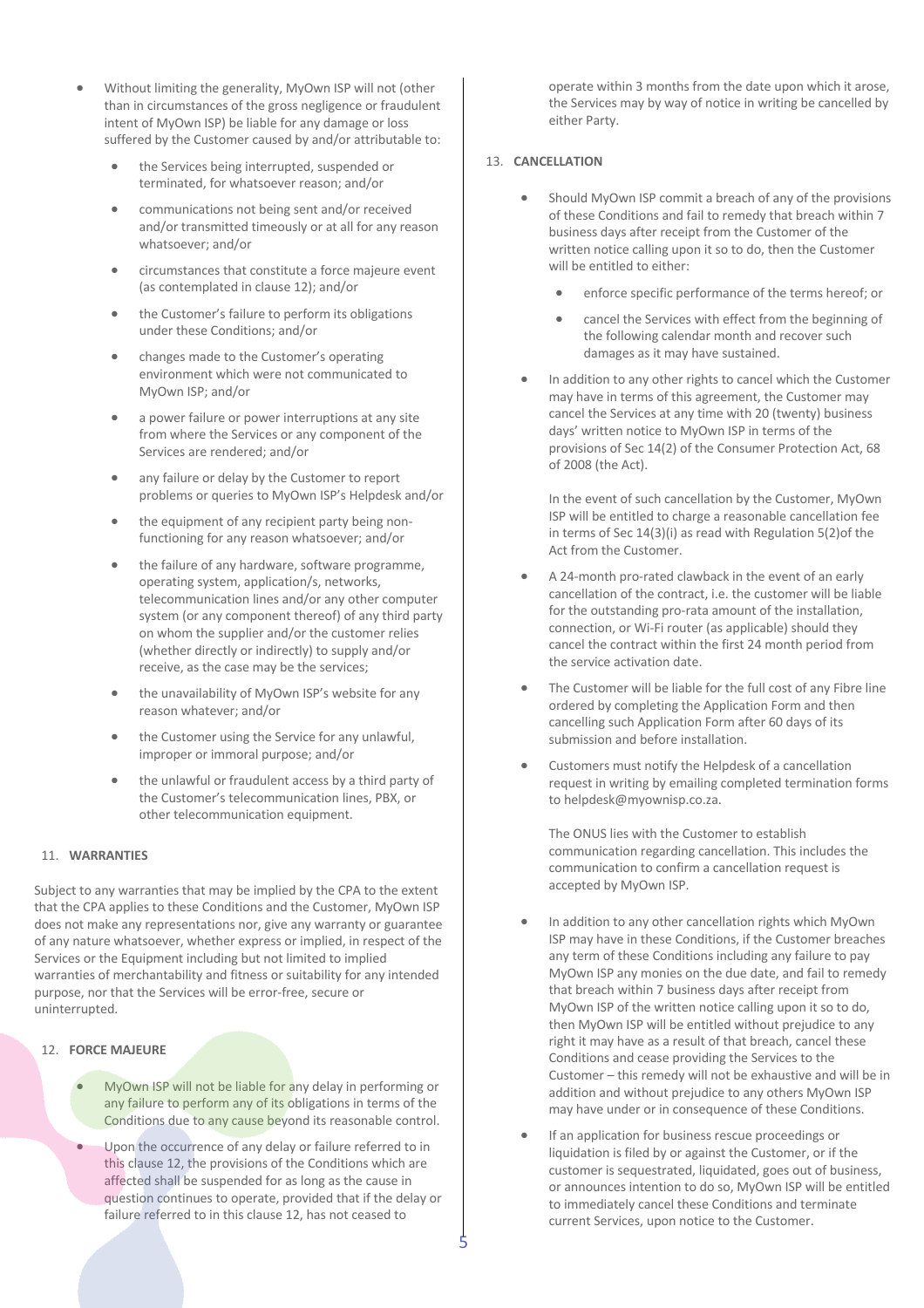- Without limiting the generality, MyOwn ISP will not (other than in circumstances of the gross negligence or fraudulent intent of MyOwn ISP) be liable for any damage or loss suffered by the Customer caused by and/or attributable to:
	- the Services being interrupted, suspended or terminated, for whatsoever reason; and/or
	- communications not being sent and/or received and/or transmitted timeously or at all for any reason whatsoever; and/or
	- circumstances that constitute a force majeure event (as contemplated in clause 12); and/or
	- the Customer's failure to perform its obligations under these Conditions; and/or
	- changes made to the Customer's operating environment which were not communicated to MyOwn ISP; and/or
	- a power failure or power interruptions at any site from where the Services or any component of the Services are rendered; and/or
	- any failure or delay by the Customer to report problems or queries to MyOwn ISP's Helpdesk and/or
	- the equipment of any recipient party being nonfunctioning for any reason whatsoever; and/or
	- the failure of any hardware, software programme, operating system, application/s, networks, telecommunication lines and/or any other computer system (or any component thereof) of any third party on whom the supplier and/or the customer relies (whether directly or indirectly) to supply and/or receive, as the case may be the services;
	- the unavailability of MyOwn ISP's website for any reason whatever; and/or
	- the Customer using the Service for any unlawful, improper or immoral purpose; and/or
	- the unlawful or fraudulent access by a third party of the Customer's telecommunication lines, PBX, or other telecommunication equipment.

#### 11. **WARRANTIES**

Subject to any warranties that may be implied by the CPA to the extent that the CPA applies to these Conditions and the Customer, MyOwn ISP does not make any representations nor, give any warranty or guarantee of any nature whatsoever, whether express or implied, in respect of the Services or the Equipment including but not limited to implied warranties of merchantability and fitness or suitability for any intended purpose, nor that the Services will be error-free, secure or uninterrupted.

## 12. **FORCE MAJEURE**

- MyOwn ISP will not be liable for any delay in performing or any failure to perform any of its obligations in terms of the Conditions due to any cause beyond its reasonable control.
- Upon the occurrence of any delay or failure referred to in this clause 12, the provisions of the Conditions which are affected shall be suspended for as long as the cause in question continues to operate, provided that if the delay or failure referred to in this clause 12, has not ceased to

operate within 3 months from the date upon which it arose, the Services may by way of notice in writing be cancelled by either Party.

# 13. **CANCELLATION**

- Should MyOwn ISP commit a breach of any of the provisions of these Conditions and fail to remedy that breach within 7 business days after receipt from the Customer of the written notice calling upon it so to do, then the Customer will be entitled to either:
	- enforce specific performance of the terms hereof; or
	- cancel the Services with effect from the beginning of the following calendar month and recover such damages as it may have sustained.
- In addition to any other rights to cancel which the Customer may have in terms of this agreement, the Customer may cancel the Services at any time with 20 (twenty) business days' written notice to MyOwn ISP in terms of the provisions of Sec 14(2) of the Consumer Protection Act, 68 of 2008 (the Act).

In the event of such cancellation by the Customer, MyOwn ISP will be entitled to charge a reasonable cancellation fee in terms of Sec 14(3)(i) as read with Regulation 5(2)of the Act from the Customer.

- A 24-month pro-rated clawback in the event of an early cancellation of the contract, i.e. the customer will be liable for the outstanding pro-rata amount of the installation, connection, or Wi-Fi router (as applicable) should they cancel the contract within the first 24 month period from the service activation date.
- The Customer will be liable for the full cost of any Fibre line ordered by completing the Application Form and then cancelling such Application Form after 60 days of its submission and before installation.
- Customers must notify the Helpdesk of a cancellation request in writing by emailing completed termination forms to helpdesk@myownisp.co.za.

The ONUS lies with the Customer to establish communication regarding cancellation. This includes the communication to confirm a cancellation request is accepted by MyOwn ISP.

- In addition to any other cancellation rights which MyOwn ISP may have in these Conditions, if the Customer breaches any term of these Conditions including any failure to pay MyOwn ISP any monies on the due date, and fail to remedy that breach within 7 business days after receipt from MyOwn ISP of the written notice calling upon it so to do, then MyOwn ISP will be entitled without prejudice to any right it may have as a result of that breach, cancel these Conditions and cease providing the Services to the Customer – this remedy will not be exhaustive and will be in addition and without prejudice to any others MyOwn ISP may have under or in consequence of these Conditions.
- If an application for business rescue proceedings or liquidation is filed by or against the Customer, or if the customer is sequestrated, liquidated, goes out of business, or announces intention to do so, MyOwn ISP will be entitled to immediately cancel these Conditions and terminate current Services, upon notice to the Customer.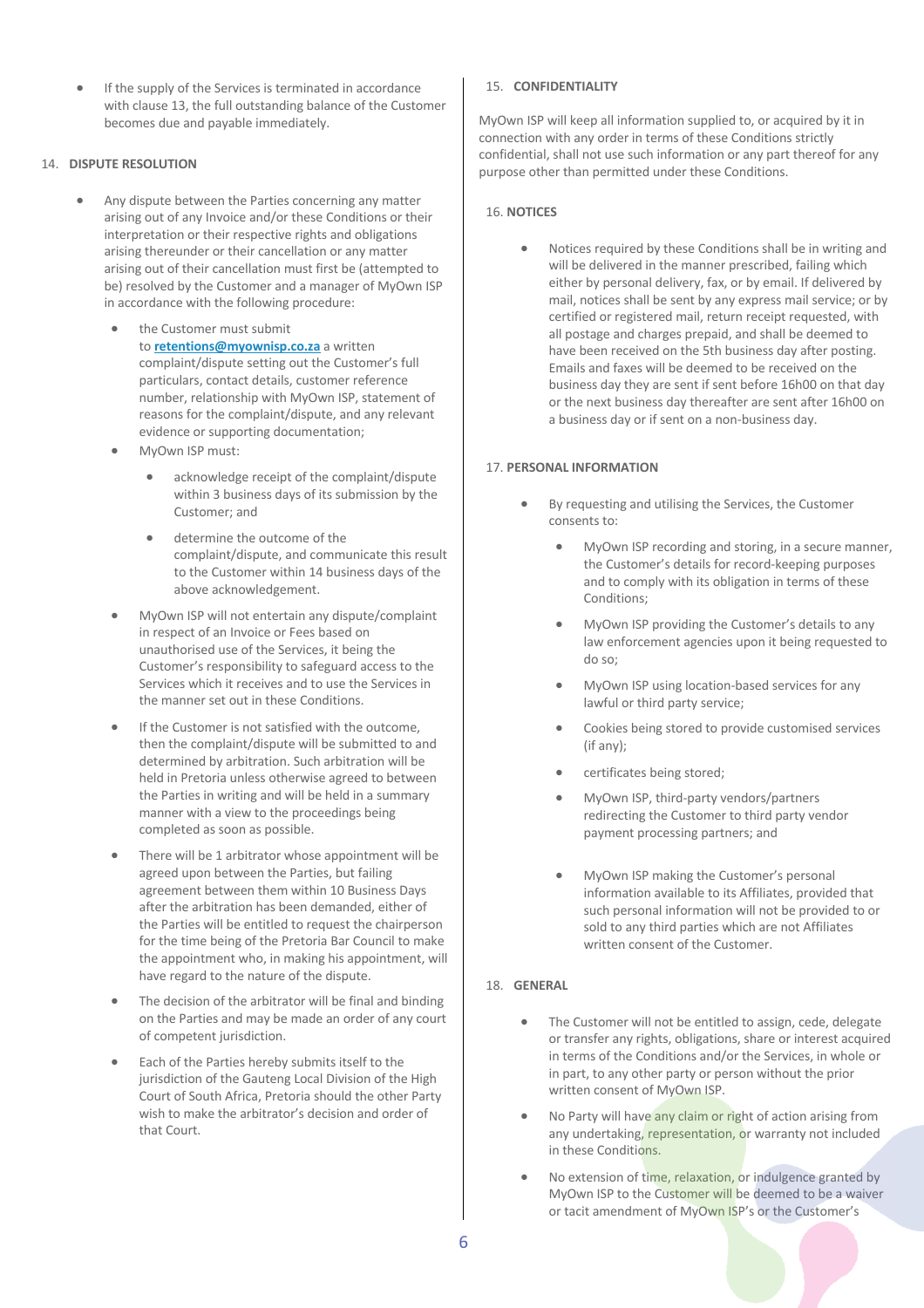If the supply of the Services is terminated in accordance with clause 13, the full outstanding balance of the Customer becomes due and payable immediately.

# 14. **DISPUTE RESOLUTION**

- Any dispute between the Parties concerning any matter arising out of any Invoice and/or these Conditions or their interpretation or their respective rights and obligations arising thereunder or their cancellation or any matter arising out of their cancellation must first be (attempted to be) resolved by the Customer and a manager of MyOwn ISP in accordance with the following procedure:
	- the Customer must submit to **retentions@myownisp.co.za** a written complaint/dispute setting out the Customer's full particulars, contact details, customer reference number, relationship with MyOwn ISP, statement of reasons for the complaint/dispute, and any relevant evidence or supporting documentation;
	- MyOwn ISP must:
		- acknowledge receipt of the complaint/dispute within 3 business days of its submission by the Customer; and
		- determine the outcome of the complaint/dispute, and communicate this result to the Customer within 14 business days of the above acknowledgement.
	- MyOwn ISP will not entertain any dispute/complaint in respect of an Invoice or Fees based on unauthorised use of the Services, it being the Customer's responsibility to safeguard access to the Services which it receives and to use the Services in the manner set out in these Conditions.
	- If the Customer is not satisfied with the outcome. then the complaint/dispute will be submitted to and determined by arbitration. Such arbitration will be held in Pretoria unless otherwise agreed to between the Parties in writing and will be held in a summary manner with a view to the proceedings being completed as soon as possible.
	- There will be 1 arbitrator whose appointment will be agreed upon between the Parties, but failing agreement between them within 10 Business Days after the arbitration has been demanded, either of the Parties will be entitled to request the chairperson for the time being of the Pretoria Bar Council to make the appointment who, in making his appointment, will have regard to the nature of the dispute.
	- The decision of the arbitrator will be final and binding on the Parties and may be made an order of any court of competent jurisdiction.
	- Each of the Parties hereby submits itself to the jurisdiction of the Gauteng Local Division of the High Court of South Africa, Pretoria should the other Party wish to make the arbitrator's decision and order of that Court.

### 15. **CONFIDENTIALITY**

MyOwn ISP will keep all information supplied to, or acquired by it in connection with any order in terms of these Conditions strictly confidential, shall not use such information or any part thereof for any purpose other than permitted under these Conditions.

## 16. **NOTICES**

• Notices required by these Conditions shall be in writing and will be delivered in the manner prescribed, failing which either by personal delivery, fax, or by email. If delivered by mail, notices shall be sent by any express mail service; or by certified or registered mail, return receipt requested, with all postage and charges prepaid, and shall be deemed to have been received on the 5th business day after posting. Emails and faxes will be deemed to be received on the business day they are sent if sent before 16h00 on that day or the next business day thereafter are sent after 16h00 on a business day or if sent on a non-business day.

### 17. **PERSONAL INFORMATION**

- By requesting and utilising the Services, the Customer consents to:
	- MyOwn ISP recording and storing, in a secure manner, the Customer's details for record-keeping purposes and to comply with its obligation in terms of these Conditions;
	- MyOwn ISP providing the Customer's details to any law enforcement agencies upon it being requested to do so;
	- MyOwn ISP using location-based services for any lawful or third party service;
	- Cookies being stored to provide customised services (if any);
	- certificates being stored;
	- MyOwn ISP, third-party vendors/partners redirecting the Customer to third party vendor payment processing partners; and
	- MyOwn ISP making the Customer's personal information available to its Affiliates, provided that such personal information will not be provided to or sold to any third parties which are not Affiliates written consent of the Customer.

#### 18. **GENERAL**

- The Customer will not be entitled to assign, cede, delegate or transfer any rights, obligations, share or interest acquired in terms of the Conditions and/or the Services, in whole or in part, to any other party or person without the prior written consent of MyOwn ISP.
- No Party will have any claim or right of action arising from any undertaking, representation, or warranty not included in these Conditions.
- No extension of time, relaxation, or indulgence granted by MyOwn ISP to the Customer will be deemed to be a waiver or tacit amendment of MyOwn ISP's or the Customer's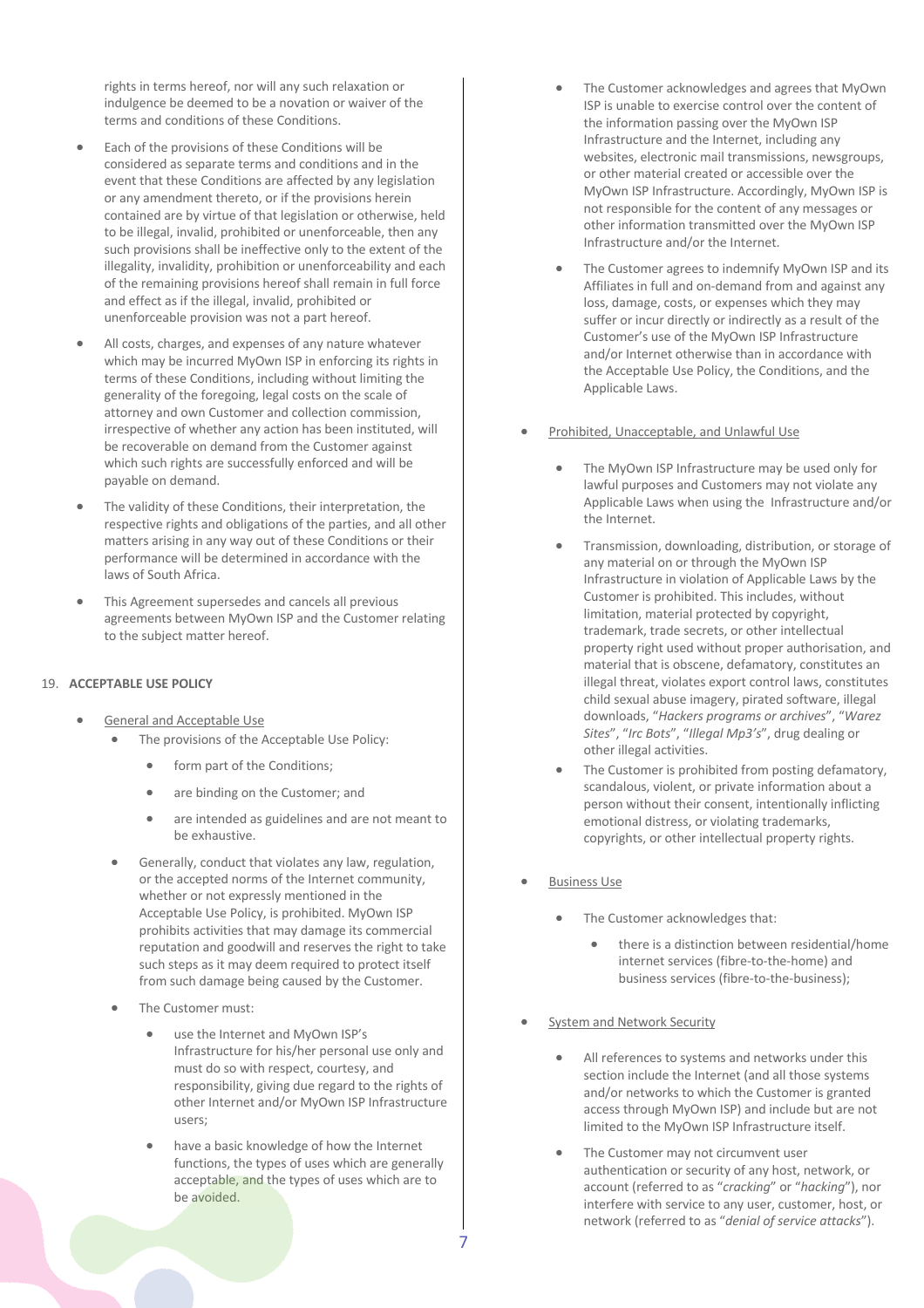rights in terms hereof, nor will any such relaxation or indulgence be deemed to be a novation or waiver of the terms and conditions of these Conditions.

- Each of the provisions of these Conditions will be considered as separate terms and conditions and in the event that these Conditions are affected by any legislation or any amendment thereto, or if the provisions herein contained are by virtue of that legislation or otherwise, held to be illegal, invalid, prohibited or unenforceable, then any such provisions shall be ineffective only to the extent of the illegality, invalidity, prohibition or unenforceability and each of the remaining provisions hereof shall remain in full force and effect as if the illegal, invalid, prohibited or unenforceable provision was not a part hereof.
- All costs, charges, and expenses of any nature whatever which may be incurred MyOwn ISP in enforcing its rights in terms of these Conditions, including without limiting the generality of the foregoing, legal costs on the scale of attorney and own Customer and collection commission, irrespective of whether any action has been instituted, will be recoverable on demand from the Customer against which such rights are successfully enforced and will be payable on demand.
- The validity of these Conditions, their interpretation, the respective rights and obligations of the parties, and all other matters arising in any way out of these Conditions or their performance will be determined in accordance with the laws of South Africa.
- This Agreement supersedes and cancels all previous agreements between MyOwn ISP and the Customer relating to the subject matter hereof.

#### 19. **ACCEPTABLE USE POLICY**

- General and Acceptable Use
	- The provisions of the Acceptable Use Policy:
		- form part of the Conditions;
		- are binding on the Customer; and
		- are intended as guidelines and are not meant to be exhaustive.
	- Generally, conduct that violates any law, regulation, or the accepted norms of the Internet community, whether or not expressly mentioned in the Acceptable Use Policy, is prohibited. MyOwn ISP prohibits activities that may damage its commercial reputation and goodwill and reserves the right to take such steps as it may deem required to protect itself from such damage being caused by the Customer.
	- The Customer must:
		- use the Internet and MyOwn ISP's Infrastructure for his/her personal use only and must do so with respect, courtesy, and responsibility, giving due regard to the rights of other Internet and/or MyOwn ISP Infrastructure users;
		- have a basic knowledge of how the Internet functions, the types of uses which are generally acceptable, and the types of uses which are to be avoided.
- The Customer acknowledges and agrees that MyOwn ISP is unable to exercise control over the content of the information passing over the MyOwn ISP Infrastructure and the Internet, including any websites, electronic mail transmissions, newsgroups, or other material created or accessible over the MyOwn ISP Infrastructure. Accordingly, MyOwn ISP is not responsible for the content of any messages or other information transmitted over the MyOwn ISP Infrastructure and/or the Internet.
- The Customer agrees to indemnify MyOwn ISP and its Affiliates in full and on-demand from and against any loss, damage, costs, or expenses which they may suffer or incur directly or indirectly as a result of the Customer's use of the MyOwn ISP Infrastructure and/or Internet otherwise than in accordance with the Acceptable Use Policy, the Conditions, and the Applicable Laws.
- Prohibited, Unacceptable, and Unlawful Use
	- The MyOwn ISP Infrastructure may be used only for lawful purposes and Customers may not violate any Applicable Laws when using the Infrastructure and/or the Internet.
	- Transmission, downloading, distribution, or storage of any material on or through the MyOwn ISP Infrastructure in violation of Applicable Laws by the Customer is prohibited. This includes, without limitation, material protected by copyright, trademark, trade secrets, or other intellectual property right used without proper authorisation, and material that is obscene, defamatory, constitutes an illegal threat, violates export control laws, constitutes child sexual abuse imagery, pirated software, illegal downloads, "*Hackers programs or archives*", "*Warez Sites*", "*Irc Bots*", "*Illegal Mp3's*", drug dealing or other illegal activities.
	- The Customer is prohibited from posting defamatory, scandalous, violent, or private information about a person without their consent, intentionally inflicting emotional distress, or violating trademarks, copyrights, or other intellectual property rights.
- Business Use
	- The Customer acknowledges that:
		- there is a distinction between residential/home internet services (fibre-to-the-home) and business services (fibre-to-the-business);
- System and Network Security
	- All references to systems and networks under this section include the Internet (and all those systems and/or networks to which the Customer is granted access through MyOwn ISP) and include but are not limited to the MyOwn ISP Infrastructure itself.
	- The Customer may not circumvent user authentication or security of any host, network, or account (referred to as "*cracking*" or "*hacking*"), nor interfere with service to any user, customer, host, or network (referred to as "*denial of service attacks*").